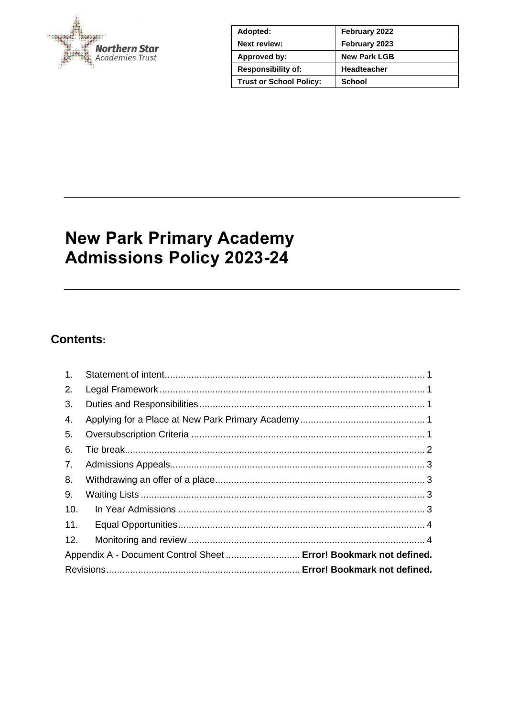

| Adopted:                       | February 2022       |
|--------------------------------|---------------------|
| <b>Next review:</b>            | February 2023       |
| Approved by:                   | <b>New Park LGB</b> |
| <b>Responsibility of:</b>      | <b>Headteacher</b>  |
| <b>Trust or School Policy:</b> | School              |

# **New Park Primary Academy Admissions Policy 2023-24**

# **Contents:**

| 1.  |                                                                   |  |
|-----|-------------------------------------------------------------------|--|
| 2.  |                                                                   |  |
| 3.  |                                                                   |  |
| 4.  |                                                                   |  |
| 5.  |                                                                   |  |
| 6.  |                                                                   |  |
| 7.  |                                                                   |  |
| 8.  |                                                                   |  |
| 9.  |                                                                   |  |
| 10. |                                                                   |  |
| 11. |                                                                   |  |
| 12. |                                                                   |  |
|     | Appendix A - Document Control Sheet  Error! Bookmark not defined. |  |
|     |                                                                   |  |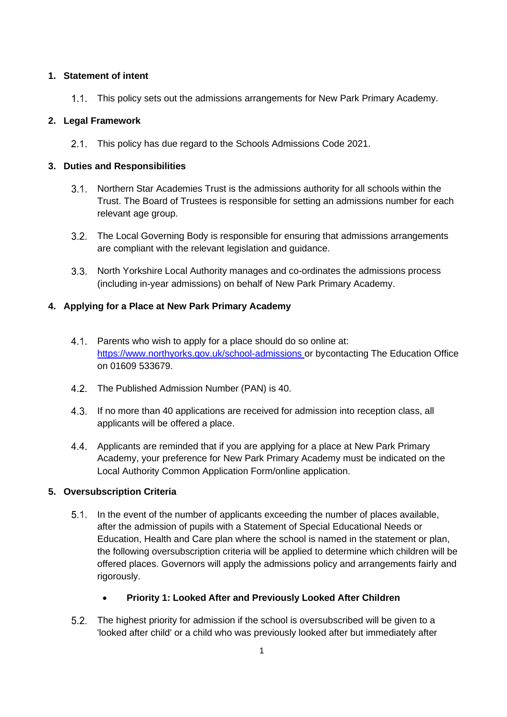# <span id="page-1-0"></span>**1. Statement of intent**

This policy sets out the admissions arrangements for New Park Primary Academy.

# <span id="page-1-1"></span>**2. Legal Framework**

2.1. This policy has due regard to the Schools Admissions Code 2021.

# <span id="page-1-2"></span>**3. Duties and Responsibilities**

- Northern Star Academies Trust is the admissions authority for all schools within the Trust. The Board of Trustees is responsible for setting an admissions number for each relevant age group.
- 3.2. The Local Governing Body is responsible for ensuring that admissions arrangements are compliant with the relevant legislation and guidance.
- North Yorkshire Local Authority manages and co-ordinates the admissions process (including in-year admissions) on behalf of New Park Primary Academy.

# <span id="page-1-3"></span>**4. Applying for a Place at New Park Primary Academy**

- 4.1. Parents who wish to apply for a place should do so online at: https://www.northyorks.gov.uk/school-admissions or bycontacting The Education Office on 01609 533679.
- 4.2. The Published Admission Number (PAN) is 40.
- If no more than 40 applications are received for admission into reception class, all applicants will be offered a place.
- 4.4. Applicants are reminded that if you are applying for a place at New Park Primary Academy, your preference for New Park Primary Academy must be indicated on the Local Authority Common Application Form/online application.

# <span id="page-1-4"></span>**5. Oversubscription Criteria**

- 5.1. In the event of the number of applicants exceeding the number of places available, after the admission of pupils with a Statement of Special Educational Needs or Education, Health and Care plan where the school is named in the statement or plan, the following oversubscription criteria will be applied to determine which children will be offered places. Governors will apply the admissions policy and arrangements fairly and rigorously.
	- **Priority 1: Looked After and Previously Looked After Children**
- The highest priority for admission if the school is oversubscribed will be given to a 'looked after child' or a child who was previously looked after but immediately after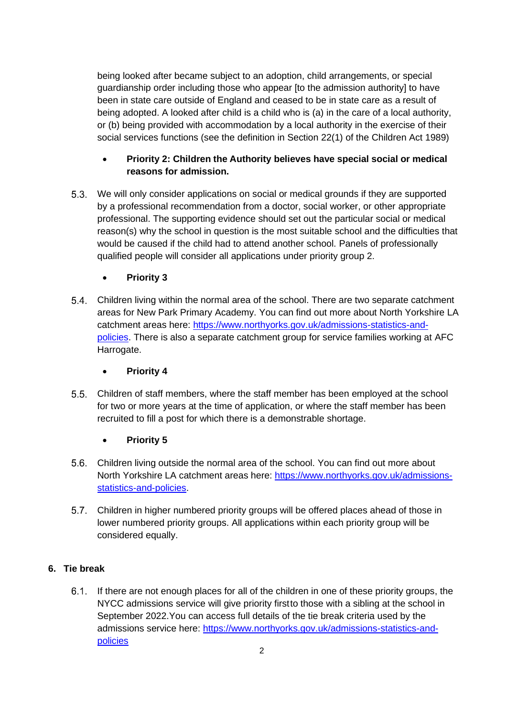being looked after became subject to an adoption, child arrangements, or special guardianship order including those who appear [to the admission authority] to have been in state care outside of England and ceased to be in state care as a result of being adopted. A looked after child is a child who is (a) in the care of a local authority, or (b) being provided with accommodation by a local authority in the exercise of their social services functions (see the definition in Section 22(1) of the Children Act 1989)

# • **Priority 2: Children the Authority believes have special social or medical reasons for admission.**

- We will only consider applications on social or medical grounds if they are supported by a professional recommendation from a doctor, social worker, or other appropriate professional. The supporting evidence should set out the particular social or medical reason(s) why the school in question is the most suitable school and the difficulties that would be caused if the child had to attend another school. Panels of professionally qualified people will consider all applications under priority group 2.
	- **Priority 3**
- Children living within the normal area of the school. There are two separate catchment areas for New Park Primary Academy. You can find out more about North Yorkshire LA catchment areas here: [https://www.northyorks.gov.uk/admissions-statistics-and](https://www.northyorks.gov.uk/admissions-statistics-and-policies)[policies.](https://www.northyorks.gov.uk/admissions-statistics-and-policies) There is also a separate catchment group for service families working at AFC Harrogate.
	- **Priority 4**
- Children of staff members, where the staff member has been employed at the school for two or more years at the time of application, or where the staff member has been recruited to fill a post for which there is a demonstrable shortage.

# • **Priority 5**

- Children living outside the normal area of the school. You can find out more about North Yorkshire LA catchment areas here: [https://www.northyorks.gov.uk/admissions](https://www.northyorks.gov.uk/admissions-statistics-and-policies)[statistics-and-policies.](https://www.northyorks.gov.uk/admissions-statistics-and-policies)
- Children in higher numbered priority groups will be offered places ahead of those in lower numbered priority groups. All applications within each priority group will be considered equally.

# <span id="page-2-0"></span>**6. Tie break**

6.1. If there are not enough places for all of the children in one of these priority groups, the NYCC admissions service will give priority firstto those with a sibling at the school in September 2022.You can access full details of the tie break criteria used by the admissions service here: [https://www.northyorks.gov.uk/admissions-statistics-and](https://www.northyorks.gov.uk/admissions-statistics-and-policies)[policies](https://www.northyorks.gov.uk/admissions-statistics-and-policies)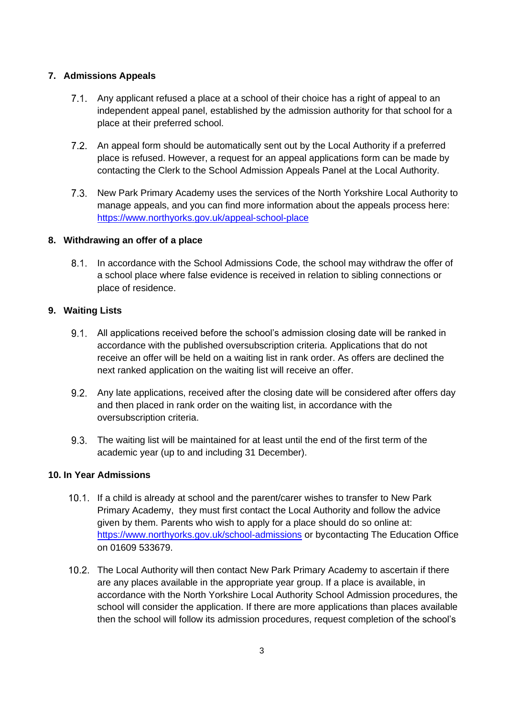# <span id="page-3-0"></span>**7. Admissions Appeals**

- Any applicant refused a place at a school of their choice has a right of appeal to an independent appeal panel, established by the admission authority for that school for a place at their preferred school.
- An appeal form should be automatically sent out by the Local Authority if a preferred place is refused. However, a request for an appeal applications form can be made by contacting the Clerk to the School Admission Appeals Panel at the Local Authority.
- 7.3. New Park Primary Academy uses the services of the North Yorkshire Local Authority to manage appeals, and you can find more information about the appeals process here: <https://www.northyorks.gov.uk/appeal-school-place>

#### <span id="page-3-1"></span>**8. Withdrawing an offer of a place**

8.1. In accordance with the School Admissions Code, the school may withdraw the offer of a school place where false evidence is received in relation to sibling connections or place of residence.

# <span id="page-3-2"></span>**9. Waiting Lists**

- All applications received before the school's admission closing date will be ranked in accordance with the published oversubscription criteria. Applications that do not receive an offer will be held on a waiting list in rank order. As offers are declined the next ranked application on the waiting list will receive an offer.
- 9.2. Any late applications, received after the closing date will be considered after offers day and then placed in rank order on the waiting list, in accordance with the oversubscription criteria.
- The waiting list will be maintained for at least until the end of the first term of the academic year (up to and including 31 December).

#### <span id="page-3-3"></span>**10. In Year Admissions**

- 10.1. If a child is already at school and the parent/carer wishes to transfer to New Park Primary Academy, they must first contact the Local Authority and follow the advice given by them. Parents who wish to apply for a place should do so online at: <https://www.northyorks.gov.uk/school-admissions> or bycontacting The Education Office on 01609 533679.
- 10.2. The Local Authority will then contact New Park Primary Academy to ascertain if there are any places available in the appropriate year group. If a place is available, in accordance with the North Yorkshire Local Authority School Admission procedures, the school will consider the application. If there are more applications than places available then the school will follow its admission procedures, request completion of the school's